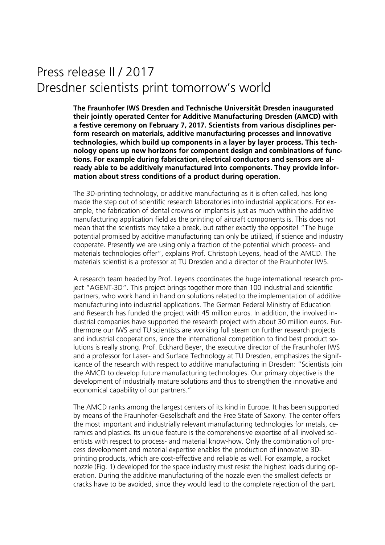## Press release II / 2017 Dresdner scientists print tomorrow's world

**The Fraunhofer IWS Dresden and Technische Universität Dresden inaugurated their jointly operated Center for Additive Manufacturing Dresden (AMCD) with a festive ceremony on February 7, 2017. Scientists from various disciplines perform research on materials, additive manufacturing processes and innovative technologies, which build up components in a layer by layer process. This technology opens up new horizons for component design and combinations of functions. For example during fabrication, electrical conductors and sensors are already able to be additively manufactured into components. They provide information about stress conditions of a product during operation.** 

The 3D-printing technology, or additive manufacturing as it is often called, has long made the step out of scientific research laboratories into industrial applications. For example, the fabrication of dental crowns or implants is just as much within the additive manufacturing application field as the printing of aircraft components is. This does not mean that the scientists may take a break, but rather exactly the opposite! "The huge potential promised by additive manufacturing can only be utilized, if science and industry cooperate. Presently we are using only a fraction of the potential which process- and materials technologies offer", explains Prof. Christoph Leyens, head of the AMCD. The materials scientist is a professor at TU Dresden and a director of the Fraunhofer IWS.

A research team headed by Prof. Leyens coordinates the huge international research project "AGENT-3D". This project brings together more than 100 industrial and scientific partners, who work hand in hand on solutions related to the implementation of additive manufacturing into industrial applications. The German Federal Ministry of Education and Research has funded the project with 45 million euros. In addition, the involved industrial companies have supported the research project with about 30 million euros. Furthermore our IWS and TU scientists are working full steam on further research projects and industrial cooperations, since the international competition to find best product solutions is really strong. Prof. Eckhard Beyer, the executive director of the Fraunhofer IWS and a professor for Laser- and Surface Technology at TU Dresden, emphasizes the significance of the research with respect to additive manufacturing in Dresden: "Scientists join the AMCD to develop future manufacturing technologies. Our primary objective is the development of industrially mature solutions and thus to strengthen the innovative and economical capability of our partners."

The AMCD ranks among the largest centers of its kind in Europe. It has been supported by means of the Fraunhofer-Gesellschaft and the Free State of Saxony. The center offers the most important and industrially relevant manufacturing technologies for metals, ceramics and plastics. Its unique feature is the comprehensive expertise of all involved scientists with respect to process- and material know-how. Only the combination of process development and material expertise enables the production of innovative 3Dprinting products, which are cost-effective and reliable as well. For example, a rocket nozzle (Fig. 1) developed for the space industry must resist the highest loads during operation. During the additive manufacturing of the nozzle even the smallest defects or cracks have to be avoided, since they would lead to the complete rejection of the part.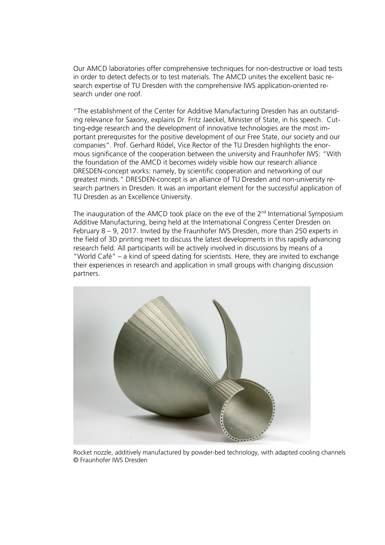Our AMCD laboratories offer comprehensive techniques for non-destructive or load tests in order to detect defects or to test materials. The AMCD unites the excellent basic research expertise of TU Dresden with the comprehensive IWS application-oriented research under one roof.

"The establishment of the Center for Additive Manufacturing Dresden has an outstanding relevance for Saxony, explains Dr. Fritz Jaeckel, Minister of State, in his speech. Cutting-edge research and the development of innovative technologies are the most important prerequisites for the positive development of our Free State, our society and our companies". Prof. Gerhard Rödel, Vice Rector of the TU Dresden highlights the enormous significance of the cooperation between the university and Fraunhofer IWS: "With the foundation of the AMCD it becomes widely visible how our research alliance DRESDEN-concept works: namely, by scientific cooperation and networking of our greatest minds." DRESDEN-concept is an alliance of TU Dresden and non-university research partners in Dresden. It was an important element for the successful application of TU Dresden as an Excellence University.

The inauguration of the AMCD took place on the eve of the  $2<sup>nd</sup>$  International Symposium Additive Manufacturing, being held at the International Congress Center Dresden on February 8 – 9, 2017. Invited by the Fraunhofer IWS Dresden, more than 250 experts in the field of 3D printing meet to discuss the latest developments in this rapidly advancing research field. All participants will be actively involved in discussions by means of a "World Café" – a kind of speed dating for scientists. Here, they are invited to exchange their experiences in research and application in small groups with changing discussion partners.



Rocket nozzle, additively manufactured by powder-bed technology, with adapted cooling channels © Fraunhofer IWS Dresden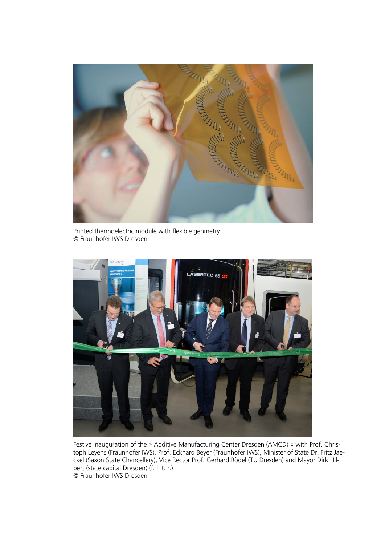

Printed thermoelectric module with flexible geometry © Fraunhofer IWS Dresden



Festive inauguration of the » Additive Manufacturing Center Dresden (AMCD) « with Prof. Christoph Leyens (Fraunhofer IWS), Prof. Eckhard Beyer (Fraunhofer IWS), Minister of State Dr. Fritz Jaeckel (Saxon State Chancellery), Vice Rector Prof. Gerhard Rödel (TU Dresden) and Mayor Dirk Hilbert (state capital Dresden) (f. l. t. r.) © Fraunhofer IWS Dresden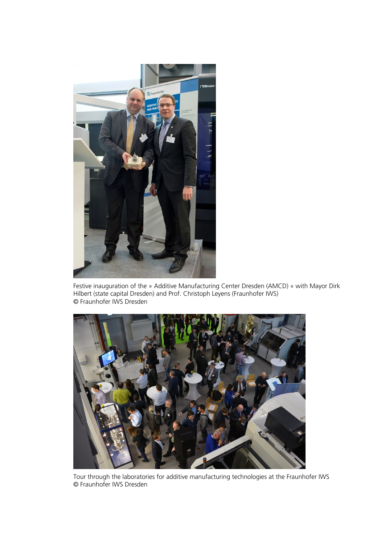

Festive inauguration of the » Additive Manufacturing Center Dresden (AMCD) « with Mayor Dirk Hilbert (state capital Dresden) and Prof. Christoph Leyens (Fraunhofer IWS) © Fraunhofer IWS Dresden



Tour through the laboratories for additive manufacturing technologies at the Fraunhofer IWS © Fraunhofer IWS Dresden